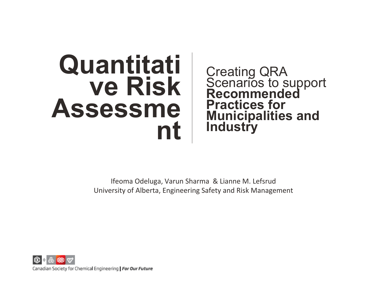# **Quantitati ve Risk Assessme nt**

Creating QRA Scenarios to support **Recommended Practices for Municipalities and Industry**

Ifeoma Odeluga, Varun Sharma & Lianne M. Lefsrud University of Alberta, Engineering Safety and Risk Management

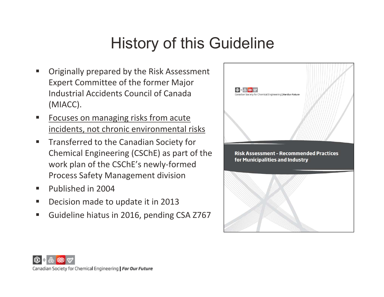## History of this Guideline

- er<br>19 Originally prepared by the Risk Assessment Expert Committee of the former Major Industrial Accidents Council of Canada (MIACC).
- **Service Service**  Focuses on managing risks from acute incidents, not chronic environmental risks
- $\blacksquare$  Transferred to the Canadian Society for Chemical Engineering (CSChE) as part of the work plan of the CSChE's newly‐formed Process Safety Management division
- **Published in 2004**
- $\mathcal{L}_{\mathcal{A}}$ Decision made to update it in 2013
- $\mathcal{L}_{\mathcal{A}}$ Guideline hiatus in 2016, pending CSA Z767



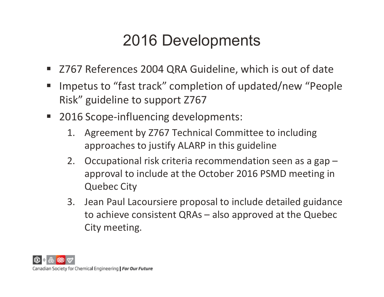# 2016 Developments

- Z767 References 2004 QRA Guideline, which is out of date
- Impetus to "fast track" completion of updated/new "People Risk" guideline to support Z767
- 2016 Scope-influencing developments:
	- 1. Agreement by Z767 Technical Committee to including approaches to justify ALARP in this guideline
	- 2. Occupational risk criteria recommendation seen as a gap approval to include at the October 2016 PSMD meeting in Quebec City
	- 3. Jean Paul Lacoursiere proposal to include detailed guidance to achieve consistent QRAs – also approved at the Quebec City meeting.

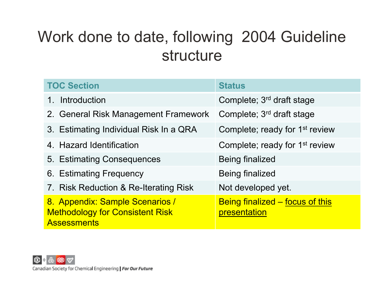## Work done to date, following 2004 Guideline structure

| <b>TOC Section</b>                                                                              | <b>Status</b>                                   |
|-------------------------------------------------------------------------------------------------|-------------------------------------------------|
| Introduction<br>$1_{\cdot}$                                                                     | Complete; 3 <sup>rd</sup> draft stage           |
| 2. General Risk Management Framework                                                            | Complete; 3 <sup>rd</sup> draft stage           |
| 3. Estimating Individual Risk In a QRA                                                          | Complete; ready for 1 <sup>st</sup> review      |
| 4. Hazard Identification                                                                        | Complete; ready for 1 <sup>st</sup> review      |
| 5. Estimating Consequences                                                                      | <b>Being finalized</b>                          |
| 6. Estimating Frequency                                                                         | <b>Being finalized</b>                          |
| 7. Risk Reduction & Re-Iterating Risk                                                           | Not developed yet.                              |
| 8. Appendix: Sample Scenarios /<br><b>Methodology for Consistent Risk</b><br><b>Assessments</b> | Being finalized – focus of this<br>presentation |

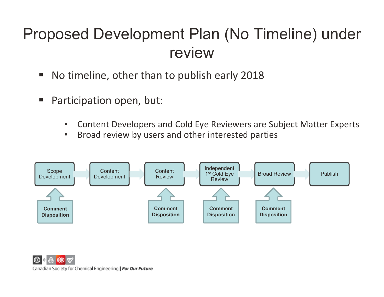## Proposed Development Plan (No Timeline) under review

- $\mathcal{L}_{\mathcal{A}}$ No timeline, other than to publish early 2018
- $\mathcal{L}_{\mathcal{A}}$  Participation open, but:
	- $\bullet$ Content Developers and Cold Eye Reviewers are Subject Matter Experts
	- $\bullet$ Broad review by users and other interested parties

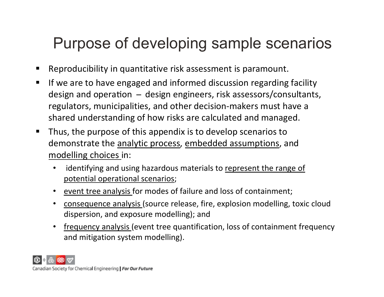### Purpose of developing sample scenarios

- Reproducibility in quantitative risk assessment is paramount.
- $\blacksquare$  If we are to have engaged and informed discussion regarding facility design and operation  $-$  design engineers, risk assessors/consultants, regulators, municipalities, and other decision‐makers must have a shared understanding of how risks are calculated and managed.
- ٠ Thus, the purpose of this appendix is to develop scenarios to demonstrate the analytic process, embedded assumptions, and modelling choices in:
	- • identifying and using hazardous materials to represent the range of potential operational scenarios;
	- •event tree analysis for modes of failure and loss of containment;
	- $\bullet$  consequence analysis (source release, fire, explosion modelling, toxic cloud dispersion, and exposure modelling); and
	- • frequency analysis (event tree quantification, loss of containment frequency and mitigation system modelling).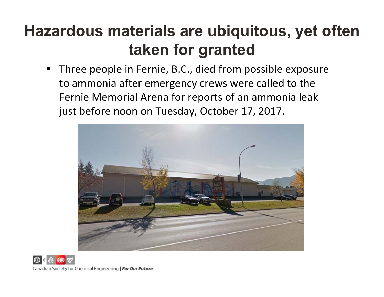# **Hazardous materials are ubiquitous, yet often taken for granted**

 Three people in Fernie, B.C., died from possible exposure to ammonia after emergency crews were called to the Fernie Memorial Arena for reports of an ammonia leak just before noon on Tuesday, October 17, 2017.

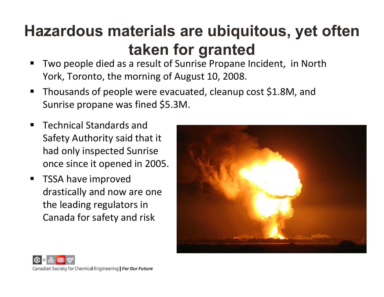# **Hazardous materials are ubiquitous, yet often taken for granted**

- ٠ Two people died as a result of Sunrise Propane Incident, in North York, Toronto, the morning of August 10, 2008.
- ٠ Thousands of people were evacuated, cleanup cost \$1.8M, and Sunrise propane was fined \$5.3M.
- Technical Standards and Safety Authority said that it had only inspected Sunrise once since it opened in 2005.
- ٠ TSSA have improved drastically and now are one the leading regulators in Canada for safety and risk



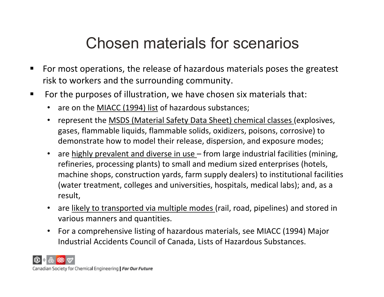### Chosen materials for scenarios

- For most operations, the release of hazardous materials poses the greatest risk to workers and the surrounding community.
- $\blacksquare$  For the purposes of illustration, we have chosen six materials that:
	- are on the MIACC (1994) list of hazardous substances;
	- represent the MSDS (Material Safety Data Sheet) chemical classes (explosives, gases, flammable liquids, flammable solids, oxidizers, poisons, corrosive) to demonstrate how to model their release, dispersion, and exposure modes;
	- are highly prevalent and diverse in use from large industrial facilities (mining, refineries, processing plants) to small and medium sized enterprises (hotels, machine shops, construction yards, farm supply dealers) to institutional facilities (water treatment, colleges and universities, hospitals, medical labs); and, as a result,
	- are likely to transported via multiple modes (rail, road, pipelines) and stored in various manners and quantities.
	- $\bullet$  For a comprehensive listing of hazardous materials, see MIACC (1994) Major Industrial Accidents Council of Canada, Lists of Hazardous Substances.

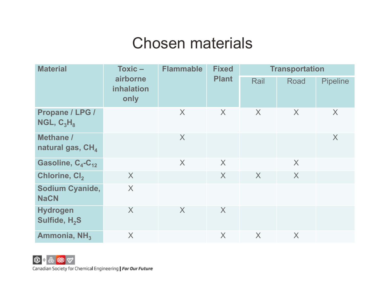### Chosen materials

| $Toxic -$<br><b>Material</b><br>airborne<br>inhalation<br>only |   | <b>Flammable</b> | <b>Fixed</b><br><b>Plant</b> | <b>Transportation</b> |      |                 |
|----------------------------------------------------------------|---|------------------|------------------------------|-----------------------|------|-----------------|
|                                                                |   |                  |                              | Rail                  | Road | <b>Pipeline</b> |
| Propane / LPG /<br>NGL, $C_3H_8$                               |   | X                | X                            | X                     | X    | X               |
| <b>Methane /</b><br>natural gas, CH <sub>4</sub>               |   | X                |                              |                       |      | X               |
| Gasoline, C <sub>4</sub> -C <sub>12</sub>                      |   | X                | X                            |                       | X    |                 |
| Chlorine, Cl <sub>2</sub>                                      | X |                  | X                            | X                     | X    |                 |
| Sodium Cyanide,<br><b>NaCN</b>                                 | X |                  |                              |                       |      |                 |
| <b>Hydrogen</b><br>Sulfide, H <sub>2</sub> S                   | X | X                | X                            |                       |      |                 |
| Ammonia, NH <sub>3</sub>                                       | X |                  | X                            | X                     | X    |                 |

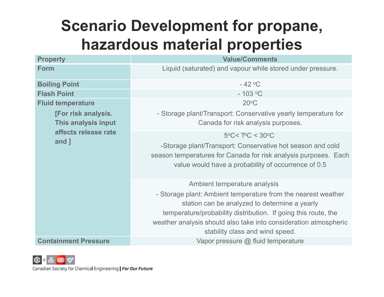# **Scenario Development for propane, hazardous material properties**

| <b>Property</b>             | <b>Value/Comments</b>                                            |  |  |
|-----------------------------|------------------------------------------------------------------|--|--|
| <b>Form</b>                 | Liquid (saturated) and vapour while stored under pressure.       |  |  |
| <b>Boiling Point</b>        | $-42$ °C                                                         |  |  |
| <b>Flash Point</b>          | $-103$ °C                                                        |  |  |
| <b>Fluid temperature</b>    | $20^{\circ}$ C                                                   |  |  |
| [For risk analysis.         | - Storage plant/Transport: Conservative yearly temperature for   |  |  |
| This analysis input         | Canada for risk analysis purposes.                               |  |  |
| affects release rate        | $5^{\circ}$ C< T $^{\circ}$ C < 30 $^{\circ}$ C                  |  |  |
| and ]                       | -Storage plant/Transport: Conservative hot season and cold       |  |  |
|                             | season temperatures for Canada for risk analysis purposes. Each  |  |  |
|                             | value would have a probability of occurrence of 0.5              |  |  |
|                             | Ambient temperature analysis                                     |  |  |
|                             | - Storage plant: Ambient temperature from the nearest weather    |  |  |
|                             | station can be analyzed to determine a yearly                    |  |  |
|                             | temperature/probability distribution. If going this route, the   |  |  |
|                             | weather analysis should also take into consideration atmospheric |  |  |
|                             | stability class and wind speed.                                  |  |  |
| <b>Containment Pressure</b> | Vapor pressure $@$ fluid temperature                             |  |  |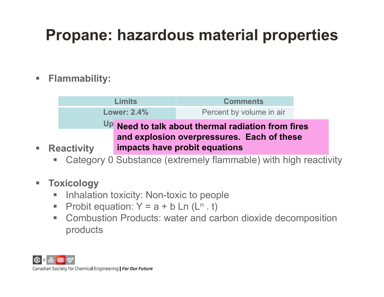# **Propane: hazardous material properties**

#### $\mathcal{L}_{\mathcal{A}}$ **Flammability:**

|                                                                                                  | <b>Limits</b>      | <b>Comments</b>          |  |  |  |
|--------------------------------------------------------------------------------------------------|--------------------|--------------------------|--|--|--|
|                                                                                                  | <b>Lower: 2.4%</b> | Percent by volume in air |  |  |  |
| Up Need to talk about thermal radiation from fires<br>and explosion overpressures. Each of these |                    |                          |  |  |  |
|                                                                                                  |                    |                          |  |  |  |

 $\overline{\phantom{a}}$ Category 0 Substance (extremely flammable) with high reactivity

#### $\mathcal{L}_{\mathcal{A}}$ **Toxicology**

 $\overline{\phantom{a}}$ 

- $\Box$ Inhalation toxicity: Non-toxic to people
- $\overline{\phantom{a}}$ Probit equation:  $Y = a + b$  Ln (L<sup>n</sup>.t)
- m. Combustion Products: water and carbon dioxide decomposition products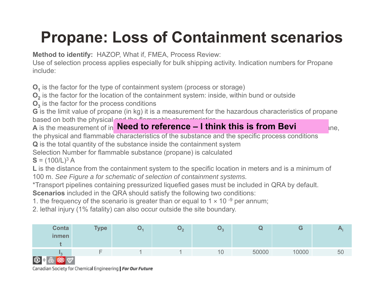# **Propane: Loss of Containment scenarios**

**Method to identify:** HAZOP, What if, FMEA, Process Review:

Use of selection process applies especially for bulk shipping activity. Indication numbers for Propane include:

 $\mathsf{O}_\mathsf{1}$  is the factor for the type of containment system (process or storage)

**O 2** is the factor for the location of the containment system: inside, within bund or outside

 $\mathsf{O}_3$  is the factor for the process conditions

**G** is the limit value of propane (in kg) it is a measurement for the hazardous characteristics of propane based on both the physical and the flammable characteristics.

**A** is the measurement of in **Need to reference – I think this is from Bevi the section of the quantity of propane** 

the physical and flammable characteristics of the substance and the specific process conditions

**Q** is the total quantity of the substance inside the containment system

Selection Number for flammable substance (propane) is calculate d

 $S = (100/L)^3 A$ 

**L** is the distance from the containment system to the specific location in meters and is a minimum of 100 m. *See Figure a for schematic of selection of containment systems.*

\*Transport pipelines containing pressurized liquefied gases must be included in QRA by default.

**Scenarios** included in the QRA should satisfy the following two conditions:

1. the frequency of the scenario is greater than or equal to 1  $\times$  10 <sup>-9</sup> per annum;

2. lethal injury (1% fatality) can also occur outside the site boundary.

| Conta<br><b>inmen</b> | <b>Type</b> | ັ<br>$\epsilon$ | しっ | u,    |       |    |
|-----------------------|-------------|-----------------|----|-------|-------|----|
| ll 2                  |             |                 | 10 | 50000 | 10000 | 50 |
| <b>CON A B GOOD</b>   |             |                 |    |       |       |    |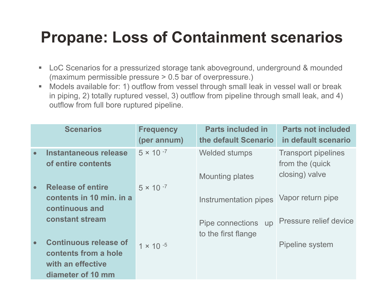## **Propane: Loss of Containment scenarios**

- $\blacksquare$  LoC Scenarios for a pressurized storage tank aboveground, underground & mounded (maximum permissible pressure > 0.5 bar of overpressure.)
- $\Box$  Models available for: 1) outflow from vessel through small leak in vessel wall or break in piping, 2) totally ruptured vessel, 3) outflow from pipeline through small leak, and 4) outflow from full bore ruptured pipeline.

|           | <b>Scenarios</b>                                                                               | <b>Frequency</b><br>(per annum) | <b>Parts included in</b><br>the default Scenario | <b>Parts not included</b><br>in default scenario                 |
|-----------|------------------------------------------------------------------------------------------------|---------------------------------|--------------------------------------------------|------------------------------------------------------------------|
| $\bullet$ | Instantaneous release<br>of entire contents                                                    | $5 \times 10^{-7}$              | <b>Welded stumps</b><br><b>Mounting plates</b>   | <b>Transport pipelines</b><br>from the (quick)<br>closing) valve |
| $\bullet$ | <b>Release of entire</b><br>contents in 10 min. in a<br>continuous and                         | $5 \times 10^{-7}$              | Instrumentation pipes                            | Vapor return pipe                                                |
|           | constant stream                                                                                |                                 | Pipe connections up<br>to the first flange       | Pressure relief device                                           |
| $\bullet$ | <b>Continuous release of</b><br>contents from a hole<br>with an effective<br>diameter of 10 mm | $1 \times 10^{-5}$              |                                                  | Pipeline system                                                  |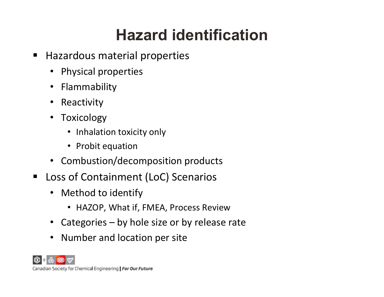# **Hazard identification**

- $\blacksquare$  Hazardous material properties
	- $\bullet$ Physical properties
	- $\bullet$ Flammability
	- $\bullet$ Reactivity
	- Toxicology
		- Inhalation toxicity only
		- Probit equation
	- Combustion/decomposition products
- $\blacksquare$  Loss of Containment (LoC) Scenarios
	- $\bullet$  Method to identify
		- HAZOP, What if, FMEA, Process Review
	- Categories by hole size or by release rate
	- $\bullet$ Number and location per site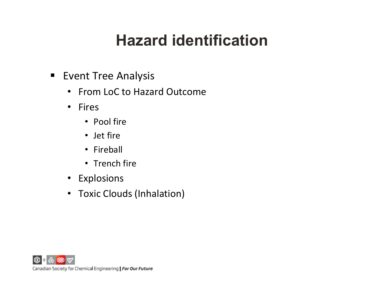# **Hazard identification**

- **Event Tree Analysis** 
	- From LoC to Hazard Outcome
	- Fires
		- Pool fire
		- Jet fire
		- Fireball
		- Trench fire
	- Explosions
	- Toxic Clouds (Inhalation)

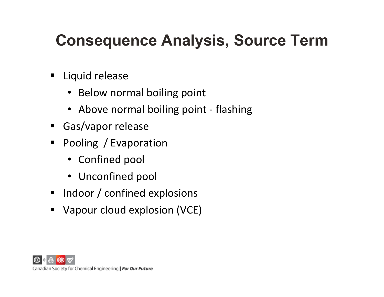# **Consequence Analysis, Source Term**

- $\blacksquare$  Liquid release
	- Below normal boiling point
	- Above normal boiling point ‐ flashing
- Gas/vapor release
- $\blacksquare$  Pooling / Evaporation
	- Confined pool
	- Unconfined pool
- **Indoor / confined explosions**
- $\blacksquare$ Vapour cloud explosion (VCE)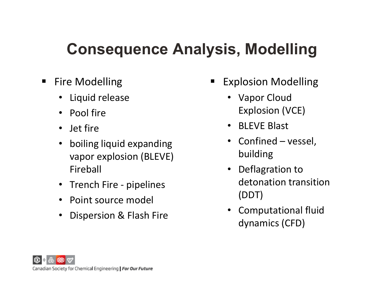## **Consequence Analysis, Modelling**

- $\blacksquare$  Fire Modelling
	- Liquid release
	- Pool fire
	- Jet fire
	- $\bullet$  boiling liquid expanding vapor explosion (BLEVE) Fireball
	- Trench Fire pipelines
	- Point source model
	- $\bullet$ Dispersion & Flash Fire
- $\blacksquare$  Explosion Modelling
	- Vapor Cloud Explosion (VCE)
	- BLEVE Blast
	- Confined vessel, building
	- $\bullet$  Deflagration to detonation transition (DDT)
	- $\bullet$  Computational fluid dynamics (CFD)

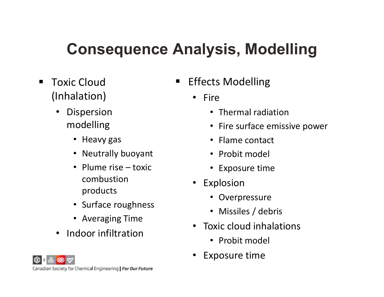# **Consequence Analysis, Modelling**

- $\blacksquare$  Toxic Cloud (Inhalation)
	- • Dispersion modelling
		- Heavy gas
		- Neutrally buoyant
		- Plume rise toxic combustion products
		- Surface roughness
		- Averaging Time
	- Indoor infiltration
- $\blacksquare$  Effects Modelling
	- Fire
		- Thermal radiation
		- Fire surface emissive power
		- Flame contact
		- Probit model
		- Exposure time
	- Explosion
		- Overpressure
		- Missiles / debris
	- •• Toxic cloud inhalations
		- Probit model
	- •Exposure time

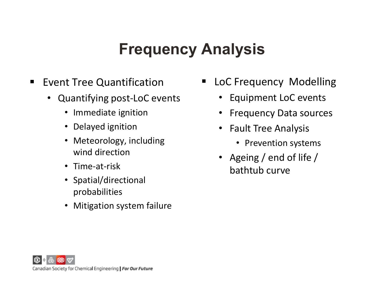### **Frequency Analysis**

- $\blacksquare$  Event Tree Quantification
	- Quantifying post‐LoC events
		- $\bullet$ Immediate ignition
		- Delayed ignition
		- • Meteorology, including wind direction
		- Time‐at‐risk
		- Spatial/directional probabilities
		- Mitigation system failure
- **Earth Component Contact Letter LoC** Frequency Modelling
	- Equipment LoC events
	- $\bullet$ Frequency Data sources
	- Fault Tree Analysis
		- Prevention systems
	- Ageing / end of life / bathtub curve

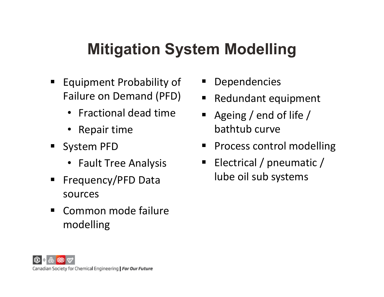### **Mitigation System Modelling**

- **Equipment Probability of** Failure on Demand (PFD)
	- Fractional dead time
	- Repair time
- System PFD
	- Fault Tree Analysis
- ٠ Frequency/PFD Data sources
- $\blacksquare$  Common mode failure modelling
- ٠ Dependencies
- $\blacksquare$ Redundant equipment
- $\blacksquare$  Ageing / end of life / bathtub curve
- $\blacksquare$ Process control modelling
- $\blacksquare$  Electrical / pneumatic / lube oil sub systems